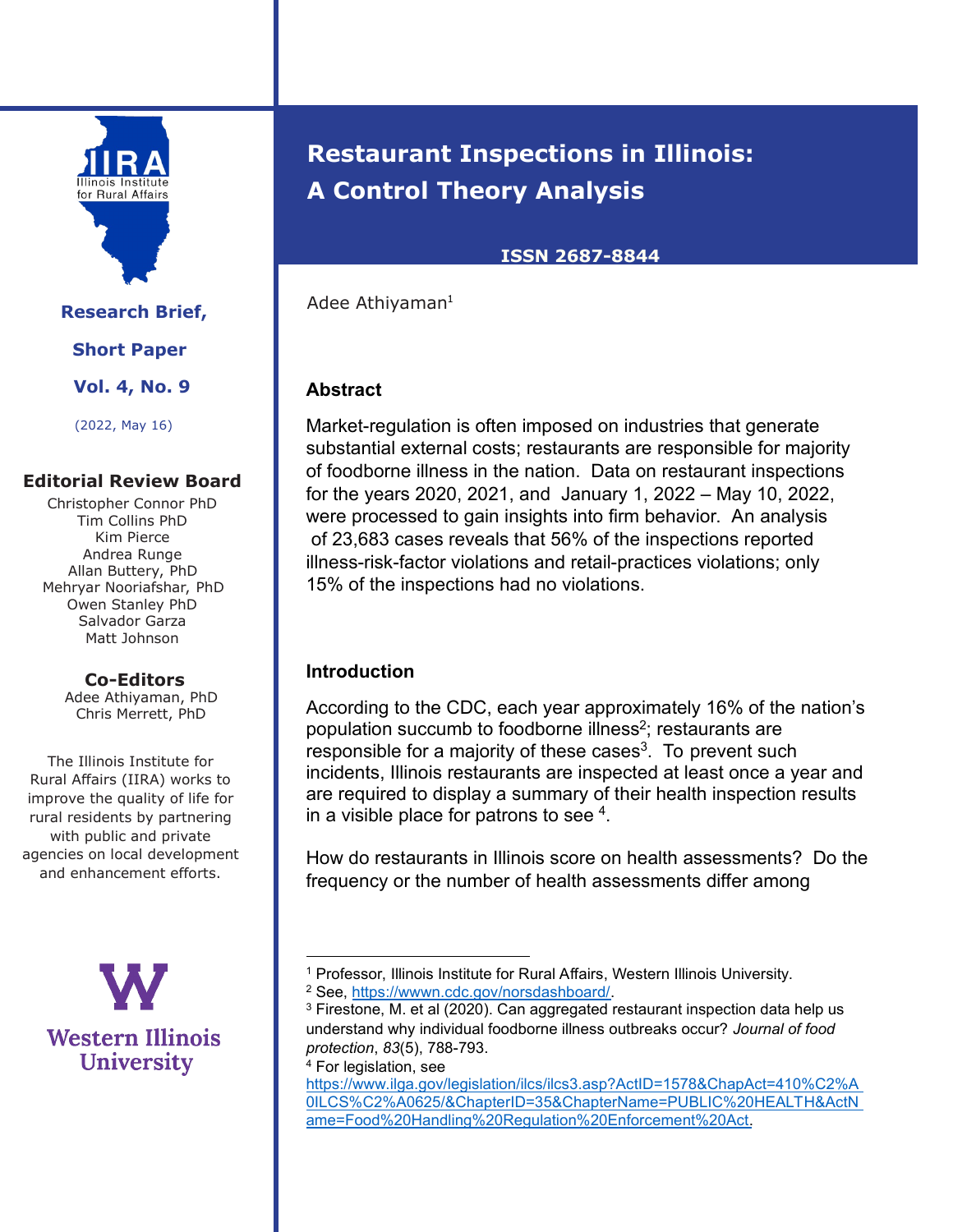

**Research Brief, Short Paper Vol. 4, No. 9**  (2022, May 16)

## **Editorial Review Board**

Christopher Connor PhD Tim Collins PhD Kim Pierce Andrea Runge Allan Buttery, PhD Mehryar Nooriafshar, PhD Owen Stanley PhD Salvador Garza Matt Johnson

> **Co-Editors** Adee Athiyaman, PhD Chris Merrett, PhD

The Illinois Institute for Rural Affairs (IIRA) works to improve the quality of life for rural residents by partnering with public and private agencies on local development and enhancement efforts.

**Western Illinois University** 

# **Restaurant Inspections in Illinois: A Control Theory Analysis**

#### **ISSN 2687-8844**

Adee Athiyaman<sup>1</sup>

# **Abstract**

Market-regulation is often imposed on industries that generate substantial external costs; restaurants are responsible for majority of foodborne illness in the nation. Data on restaurant inspections for the years 2020, 2021, and January 1, 2022 – May 10, 2022, were processed to gain insights into firm behavior. An analysis of 23,683 cases reveals that 56% of the inspections reported illness-risk-factor violations and retail-practices violations; only 15% of the inspections had no violations.

#### **Introduction**

According to the CDC, each year approximately 16% of the nation's population succumb to foodborne illness<sup>2</sup>; restaurants are  $r$ esponsible for a majority of these cases<sup>3</sup>. To prevent such incidents, Illinois restaurants are inspected at least once a year and are required to display a summary of their health inspection results in a visible place for patrons to see  $4$ .

How do restaurants in Illinois score on health assessments? Do the frequency or the number of health assessments differ among

<sup>4</sup> For legislation, see

https://www.ilga.gov/legislation/ilcs/ilcs3.asp?ActID=1578&ChapAct=410%C2%A 0ILCS%C2%A0625/&ChapterID=35&ChapterName=PUBLIC%20HEALTH&ActN ame=Food%20Handling%20Regulation%20Enforcement%20Act.

<sup>&</sup>lt;sup>1</sup> Professor, Illinois Institute for Rural Affairs, Western Illinois University.

<sup>2</sup> See, https://wwwn.cdc.gov/norsdashboard/.

<sup>3</sup> Firestone, M. et al (2020). Can aggregated restaurant inspection data help us understand why individual foodborne illness outbreaks occur? *Journal of food protection*, *83*(5), 788-793.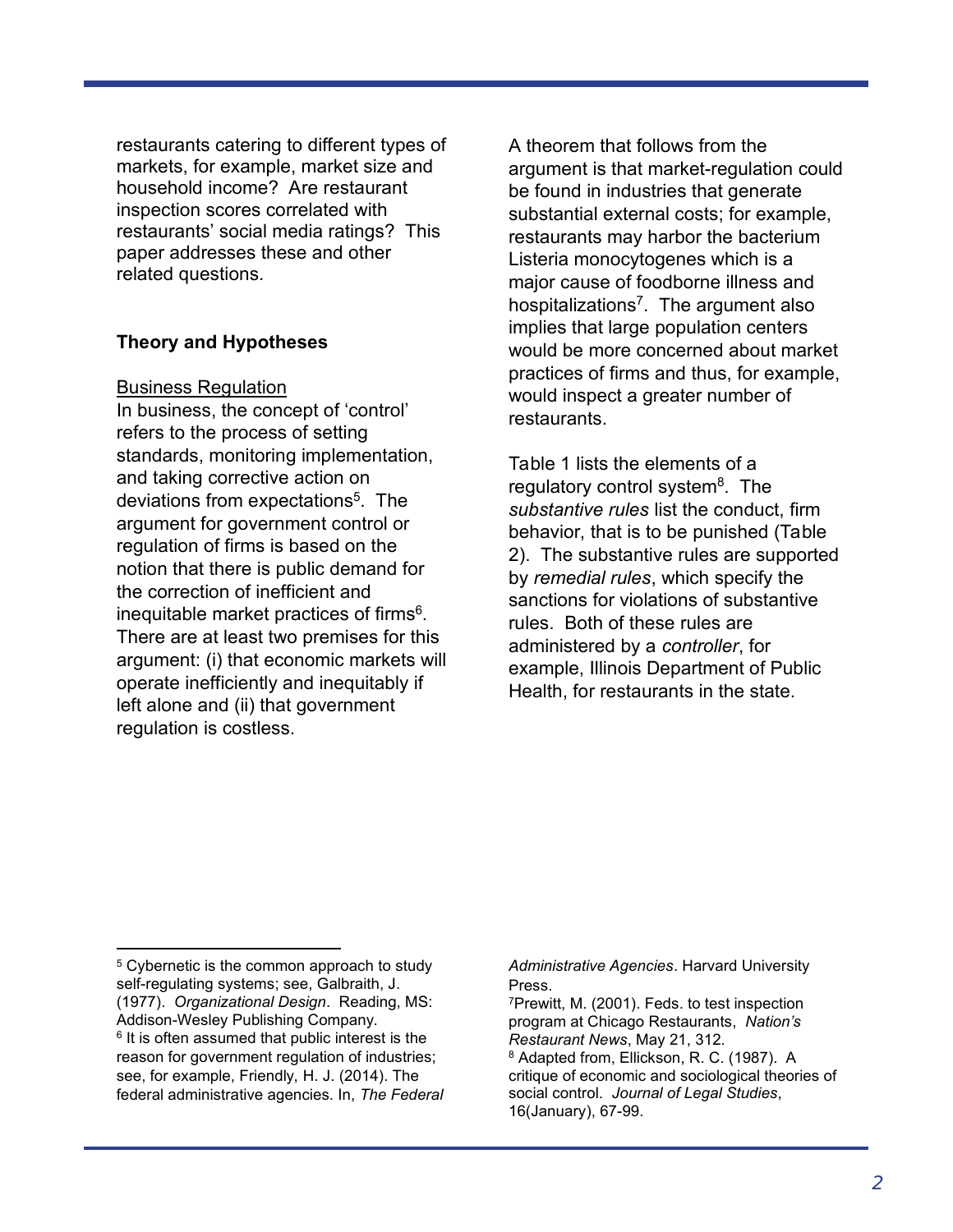restaurants catering to different types of markets, for example, market size and household income? Are restaurant inspection scores correlated with restaurants' social media ratings? This paper addresses these and other related questions.

## **Theory and Hypotheses**

#### Business Regulation

In business, the concept of 'control' refers to the process of setting standards, monitoring implementation, and taking corrective action on deviations from expectations<sup>5</sup>. The argument for government control or regulation of firms is based on the notion that there is public demand for the correction of inefficient and inequitable market practices of firms<sup>6</sup>. There are at least two premises for this argument: (i) that economic markets will operate inefficiently and inequitably if left alone and (ii) that government regulation is costless.

A theorem that follows from the argument is that market-regulation could be found in industries that generate substantial external costs; for example, restaurants may harbor the bacterium Listeria monocytogenes which is a major cause of foodborne illness and hospitalizations<sup>7</sup>. The argument also implies that large population centers would be more concerned about market practices of firms and thus, for example, would inspect a greater number of restaurants.

Table 1 lists the elements of a regulatory control system<sup>8</sup>. The *substantive rules* list the conduct, firm behavior, that is to be punished (Table 2). The substantive rules are supported by *remedial rules*, which specify the sanctions for violations of substantive rules. Both of these rules are administered by a *controller*, for example, Illinois Department of Public Health, for restaurants in the state.

*Administrative Agencies*. Harvard University Press.

<sup>&</sup>lt;sup>5</sup> Cybernetic is the common approach to study self-regulating systems; see, Galbraith, J. (1977). *Organizational Design*. Reading, MS: Addison-Wesley Publishing Company. <sup>6</sup> It is often assumed that public interest is the reason for government regulation of industries; see, for example, Friendly, H. J. (2014). The federal administrative agencies. In, *The Federal* 

<sup>7</sup>Prewitt, M. (2001). Feds. to test inspection program at Chicago Restaurants, *Nation's Restaurant News*, May 21, 312. <sup>8</sup> Adapted from, Ellickson, R. C. (1987). A critique of economic and sociological theories of social control. *Journal of Legal Studies*, 16(January), 67-99.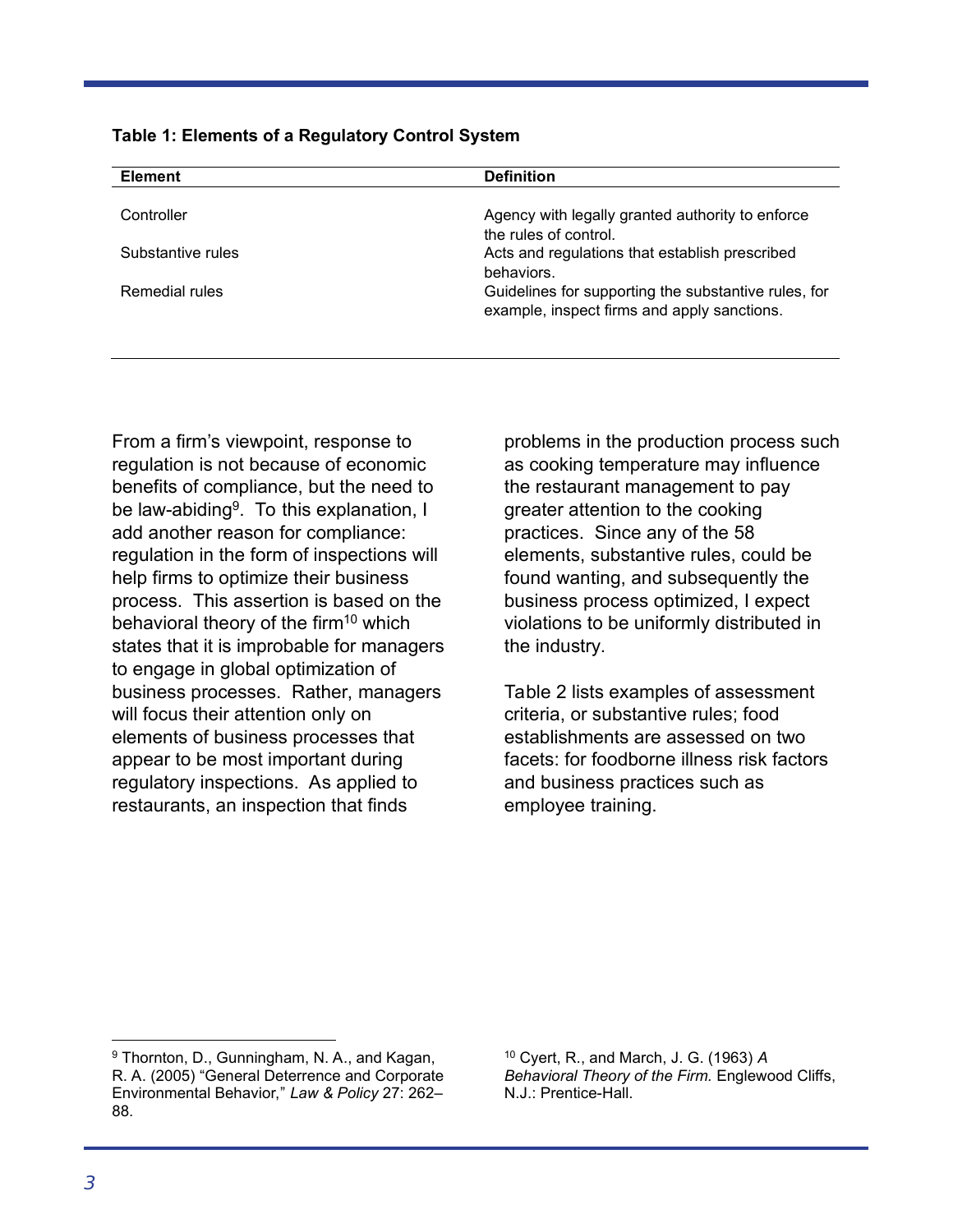**Table 1: Elements of a Regulatory Control System** 

| <b>Element</b>    | <b>Definition</b>                                                                                   |
|-------------------|-----------------------------------------------------------------------------------------------------|
| Controller        | Agency with legally granted authority to enforce<br>the rules of control.                           |
| Substantive rules | Acts and regulations that establish prescribed<br>behaviors.                                        |
| Remedial rules    | Guidelines for supporting the substantive rules, for<br>example, inspect firms and apply sanctions. |

From a firm's viewpoint, response to regulation is not because of economic benefits of compliance, but the need to be law-abiding<sup>9</sup>. To this explanation, I add another reason for compliance: regulation in the form of inspections will help firms to optimize their business process. This assertion is based on the behavioral theory of the firm<sup>10</sup> which states that it is improbable for managers to engage in global optimization of business processes. Rather, managers will focus their attention only on elements of business processes that appear to be most important during regulatory inspections. As applied to restaurants, an inspection that finds

problems in the production process such as cooking temperature may influence the restaurant management to pay greater attention to the cooking practices. Since any of the 58 elements, substantive rules, could be found wanting, and subsequently the business process optimized, I expect violations to be uniformly distributed in the industry.

Table 2 lists examples of assessment criteria, or substantive rules; food establishments are assessed on two facets: for foodborne illness risk factors and business practices such as employee training.

<sup>10</sup> Cyert, R., and March, J. G. (1963) *A Behavioral Theory of the Firm.* Englewood Cliffs, N.J.: Prentice-Hall.

l.

<sup>9</sup> Thornton, D., Gunningham, N. A., and Kagan, R. A. (2005) "General Deterrence and Corporate Environmental Behavior," *Law & Policy* 27: 262– 88.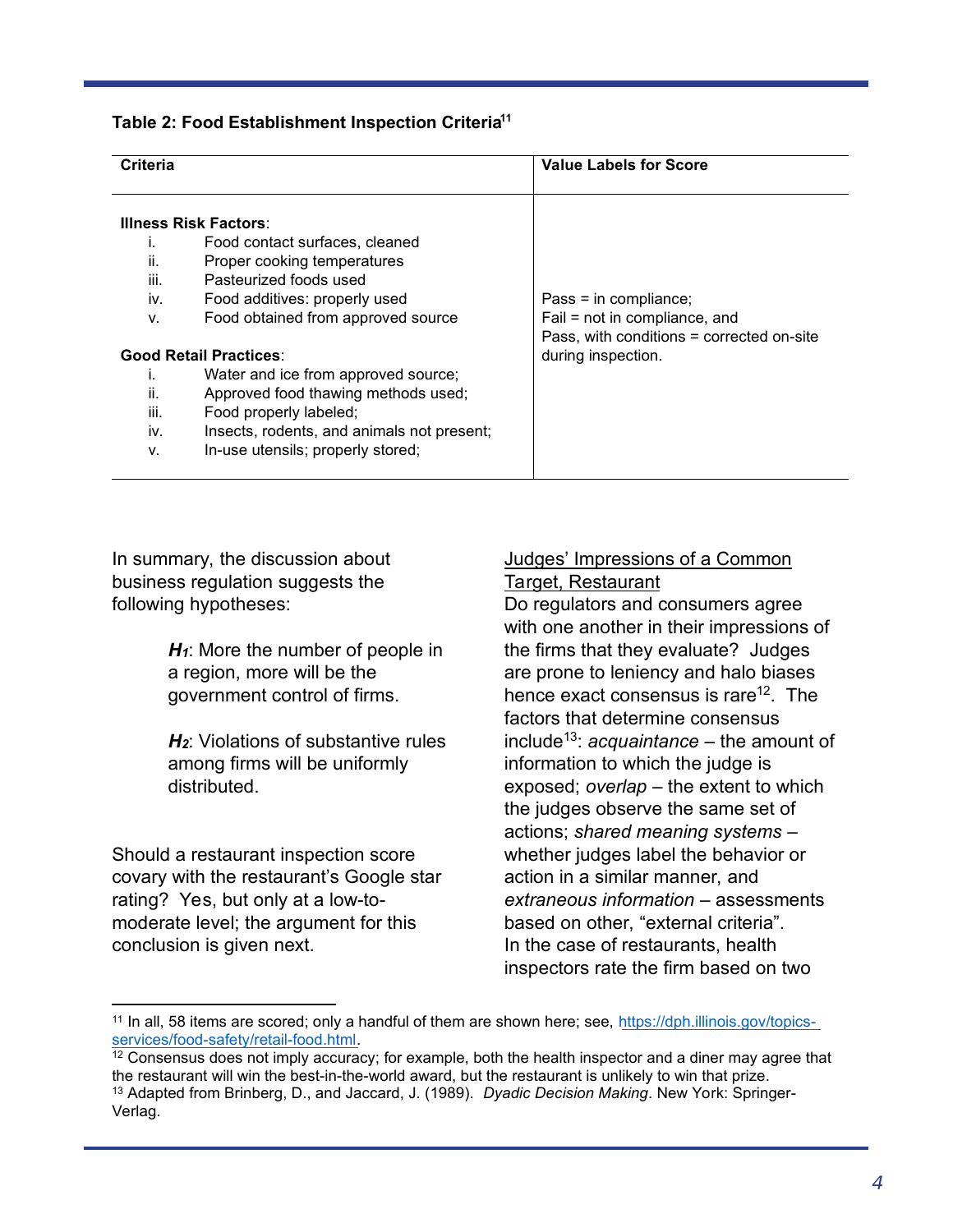#### **Table 2: Food Establishment Inspection Criteria<sup>11</sup>**

| Criteria    |                                                                                                                         | <b>Value Labels for Score</b>                          |  |
|-------------|-------------------------------------------------------------------------------------------------------------------------|--------------------------------------------------------|--|
| ii.<br>iii. | <b>Illness Risk Factors:</b><br>Food contact surfaces, cleaned<br>Proper cooking temperatures<br>Pasteurized foods used |                                                        |  |
| iv.<br>V.   | Food additives: properly used<br>Food obtained from approved source                                                     | Pass = in compliance;<br>Fail = not in compliance, and |  |
|             |                                                                                                                         | Pass, with conditions = corrected on-site              |  |
|             | <b>Good Retail Practices:</b>                                                                                           | during inspection.                                     |  |
|             | Water and ice from approved source;                                                                                     |                                                        |  |
| ii.         | Approved food thawing methods used;                                                                                     |                                                        |  |
| iii.        | Food properly labeled;                                                                                                  |                                                        |  |
| iv.         | Insects, rodents, and animals not present;                                                                              |                                                        |  |
| v.          | In-use utensils; properly stored;                                                                                       |                                                        |  |

In summary, the discussion about business regulation suggests the following hypotheses:

> *H1*: More the number of people in a region, more will be the government control of firms.

*H2*: Violations of substantive rules among firms will be uniformly distributed.

Should a restaurant inspection score covary with the restaurant's Google star rating? Yes, but only at a low-tomoderate level; the argument for this conclusion is given next.

 $\overline{a}$ 

## Judges' Impressions of a Common Target, Restaurant

Do regulators and consumers agree with one another in their impressions of the firms that they evaluate? Judges are prone to leniency and halo biases hence exact consensus is rare<sup>12</sup>. The factors that determine consensus include<sup>13</sup>: *acquaintance* – the amount of information to which the judge is exposed; *overlap* – the extent to which the judges observe the same set of actions; *shared meaning systems* – whether judges label the behavior or action in a similar manner, and *extraneous information* – assessments based on other, "external criteria". In the case of restaurants, health inspectors rate the firm based on two

<sup>11</sup> In all, 58 items are scored; only a handful of them are shown here; see, https://dph.illinois.gov/topicsservices/food-safety/retail-food.html.

 $12$  Consensus does not imply accuracy; for example, both the health inspector and a diner may agree that the restaurant will win the best-in-the-world award, but the restaurant is unlikely to win that prize. <sup>13</sup> Adapted from Brinberg, D., and Jaccard, J. (1989). *Dyadic Decision Making*. New York: Springer-Verlag.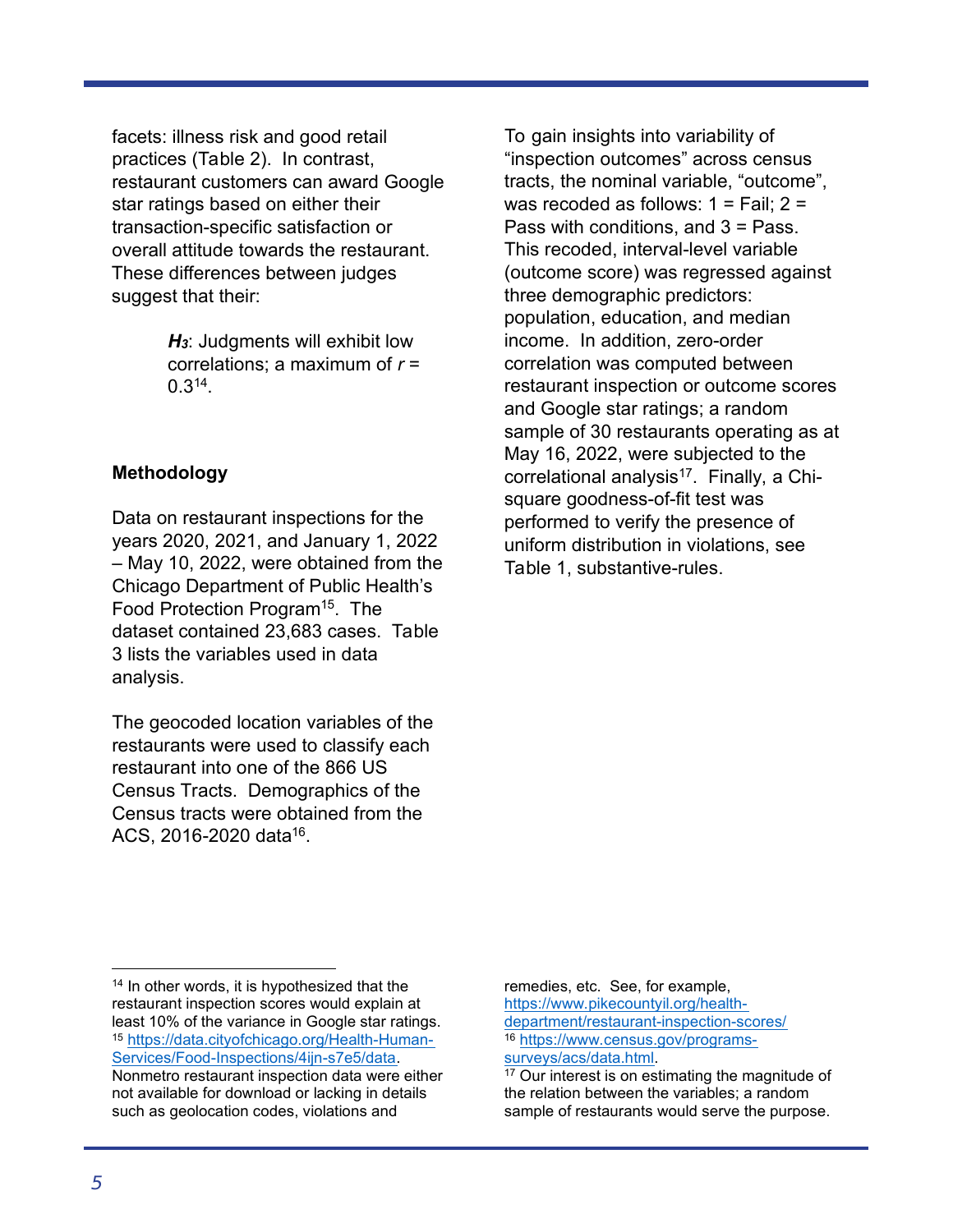facets: illness risk and good retail practices (Table 2). In contrast, restaurant customers can award Google star ratings based on either their transaction-specific satisfaction or overall attitude towards the restaurant. These differences between judges suggest that their:

> *H3*: Judgments will exhibit low correlations; a maximum of *r* =  $0.3^{14}$ .

## **Methodology**

Data on restaurant inspections for the years 2020, 2021, and January 1, 2022 – May 10, 2022, were obtained from the Chicago Department of Public Health's Food Protection Program<sup>15</sup>. The dataset contained 23,683 cases. Table 3 lists the variables used in data analysis.

The geocoded location variables of the restaurants were used to classify each restaurant into one of the 866 US Census Tracts. Demographics of the Census tracts were obtained from the ACS, 2016-2020 data<sup>16</sup>.

To gain insights into variability of "inspection outcomes" across census tracts, the nominal variable, "outcome", was recoded as follows:  $1 = \text{fail}$ ;  $2 =$ Pass with conditions, and 3 = Pass. This recoded, interval-level variable (outcome score) was regressed against three demographic predictors: population, education, and median income. In addition, zero-order correlation was computed between restaurant inspection or outcome scores and Google star ratings; a random sample of 30 restaurants operating as at May 16, 2022, were subjected to the correlational analysis<sup>17</sup>. Finally, a Chisquare goodness-of-fit test was performed to verify the presence of uniform distribution in violations, see Table 1, substantive-rules.

remedies, etc. See, for example, https://www.pikecountyil.org/healthdepartment/restaurant-inspection-scores/ <sup>16</sup> https://www.census.gov/programssurveys/acs/data.html.

<sup>17</sup> Our interest is on estimating the magnitude of the relation between the variables; a random sample of restaurants would serve the purpose.

 $\overline{a}$ 

<sup>&</sup>lt;sup>14</sup> In other words, it is hypothesized that the restaurant inspection scores would explain at least 10% of the variance in Google star ratings. <sup>15</sup> https://data.cityofchicago.org/Health-Human-Services/Food-Inspections/4ijn-s7e5/data. Nonmetro restaurant inspection data were either not available for download or lacking in details such as geolocation codes, violations and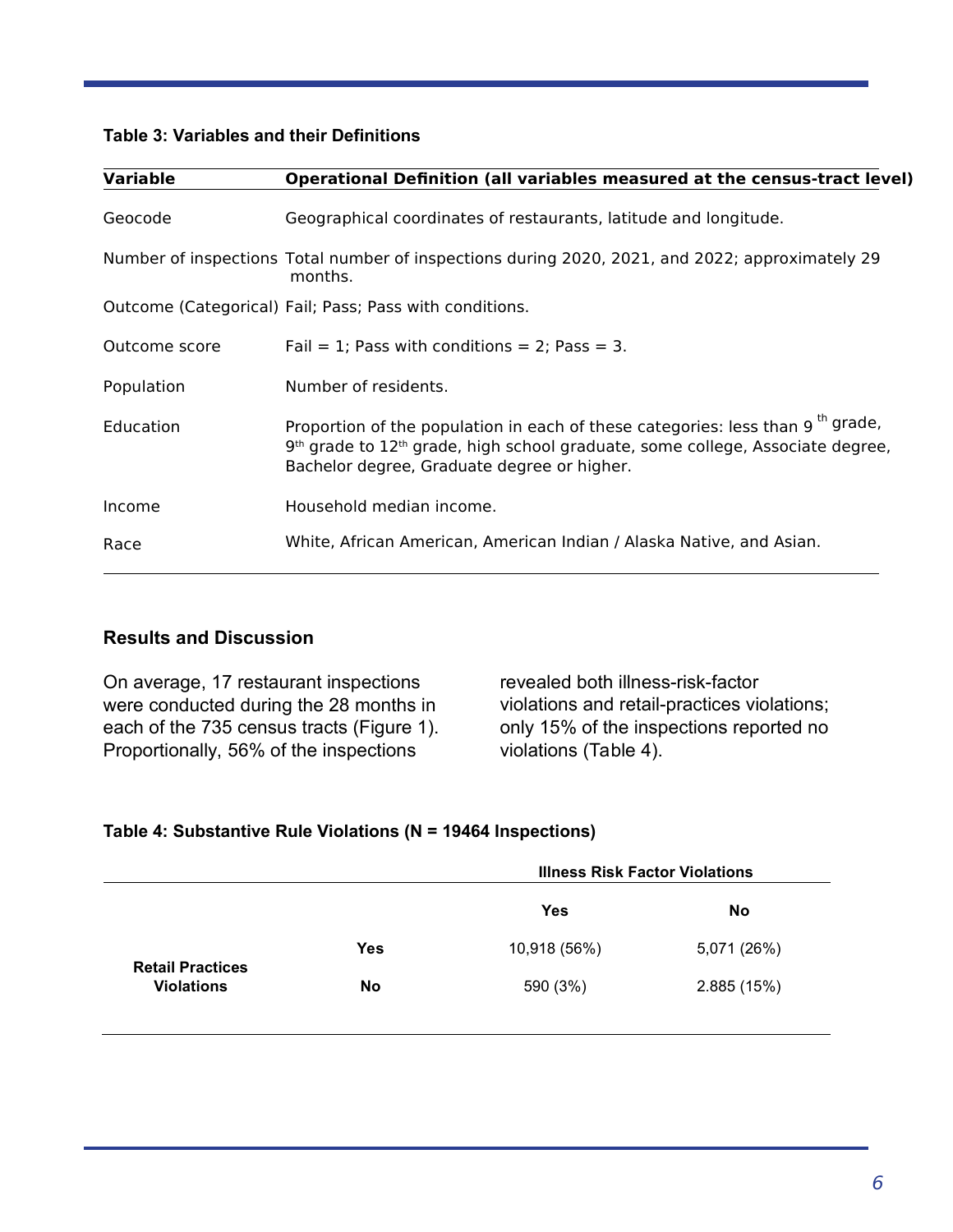#### **Table 3: Variables and their Definitions**

| <b>Variable</b> | Operational Definition (all variables measured at the census-tract level)                                                                                                                                                                           |
|-----------------|-----------------------------------------------------------------------------------------------------------------------------------------------------------------------------------------------------------------------------------------------------|
| Geocode         | Geographical coordinates of restaurants, latitude and longitude.                                                                                                                                                                                    |
|                 | Number of inspections Total number of inspections during 2020, 2021, and 2022; approximately 29<br>months.                                                                                                                                          |
|                 | Outcome (Categorical) Fail; Pass; Pass with conditions.                                                                                                                                                                                             |
| Outcome score   | Fail = 1; Pass with conditions = 2; Pass = 3.                                                                                                                                                                                                       |
| Population      | Number of residents.                                                                                                                                                                                                                                |
| Education       | Proportion of the population in each of these categories: less than 9 <sup>th</sup> grade,<br>9 <sup>th</sup> grade to 12 <sup>th</sup> grade, high school graduate, some college, Associate degree,<br>Bachelor degree, Graduate degree or higher. |
| Income          | Household median income.                                                                                                                                                                                                                            |
| Race            | White, African American, American Indian / Alaska Native, and Asian.                                                                                                                                                                                |

#### **Results and Discussion**

On average, 17 restaurant inspections were conducted during the 28 months in each of the 735 census tracts (Figure 1). Proportionally, 56% of the inspections

revealed both illness-risk-factor violations and retail-practices violations; only 15% of the inspections reported no violations (Table 4).

#### **Table 4: Substantive Rule Violations (N = 19464 Inspections)**

|                                              |           | <b>Illness Risk Factor Violations</b> |             |
|----------------------------------------------|-----------|---------------------------------------|-------------|
|                                              |           | Yes                                   | No          |
|                                              | Yes       | 10,918 (56%)                          | 5,071 (26%) |
| <b>Retail Practices</b><br><b>Violations</b> | <b>No</b> | 590 (3%)                              | 2.885(15%)  |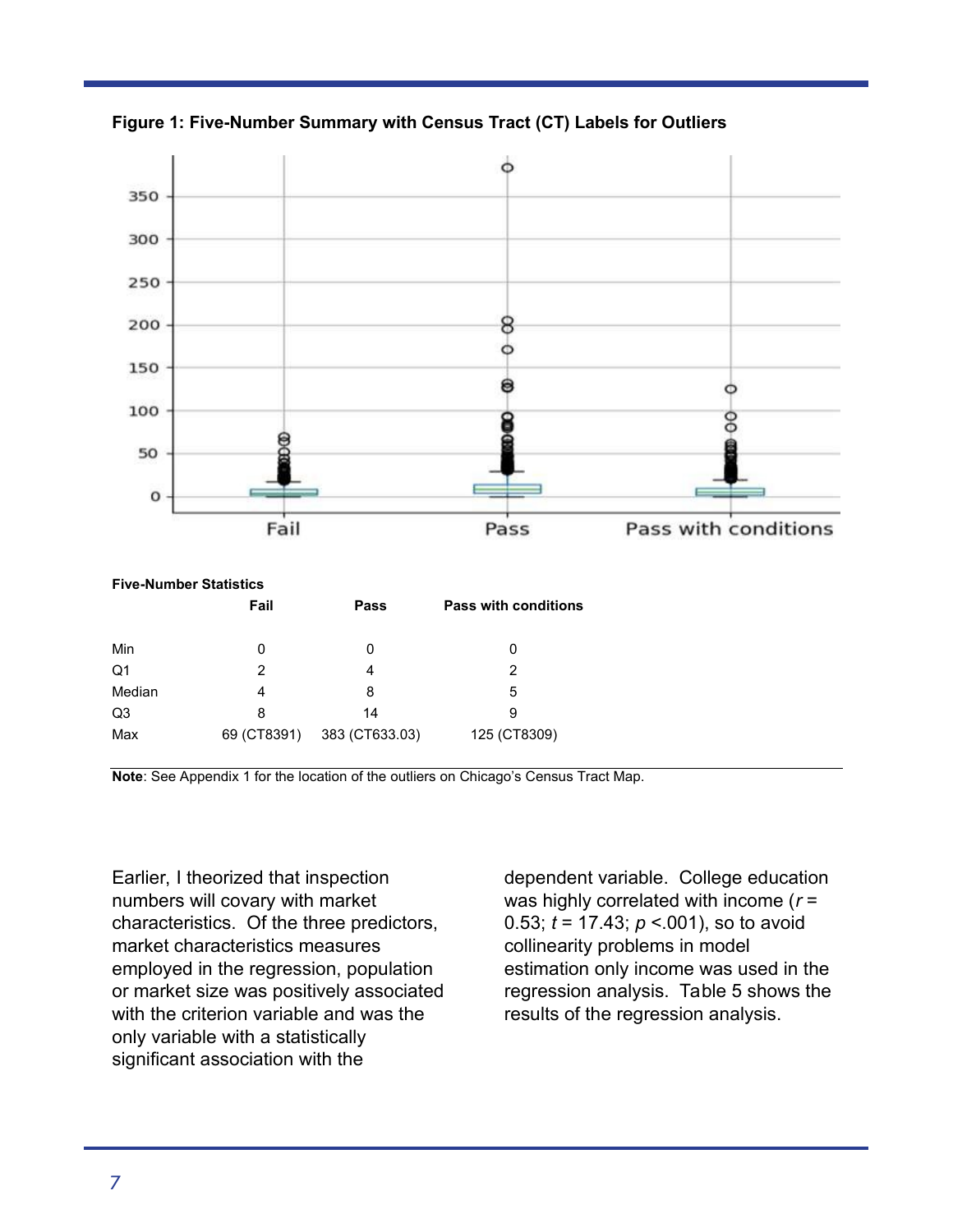

**Figure 1: Five-Number Summary with Census Tract (CT) Labels for Outliers** 

| <b>Five-Number Statistics</b> |             |                |                             |  |  |  |
|-------------------------------|-------------|----------------|-----------------------------|--|--|--|
|                               | Fail        | Pass           | <b>Pass with conditions</b> |  |  |  |
| Min                           | 0           | 0              | 0                           |  |  |  |
| Q1                            | 2           | 4              | 2                           |  |  |  |
| Median                        | 4           | 8              | 5                           |  |  |  |
| Q3                            | 8           | 14             | 9                           |  |  |  |
| Max                           | 69 (CT8391) | 383 (CT633.03) | 125 (CT8309)                |  |  |  |

**Note**: See Appendix 1 for the location of the outliers on Chicago's Census Tract Map.

Earlier, I theorized that inspection numbers will covary with market characteristics. Of the three predictors, market characteristics measures employed in the regression, population or market size was positively associated with the criterion variable and was the only variable with a statistically significant association with the

dependent variable. College education was highly correlated with income (*r* = 0.53; *t* = 17.43; *p* <.001), so to avoid collinearity problems in model estimation only income was used in the regression analysis. Table 5 shows the results of the regression analysis.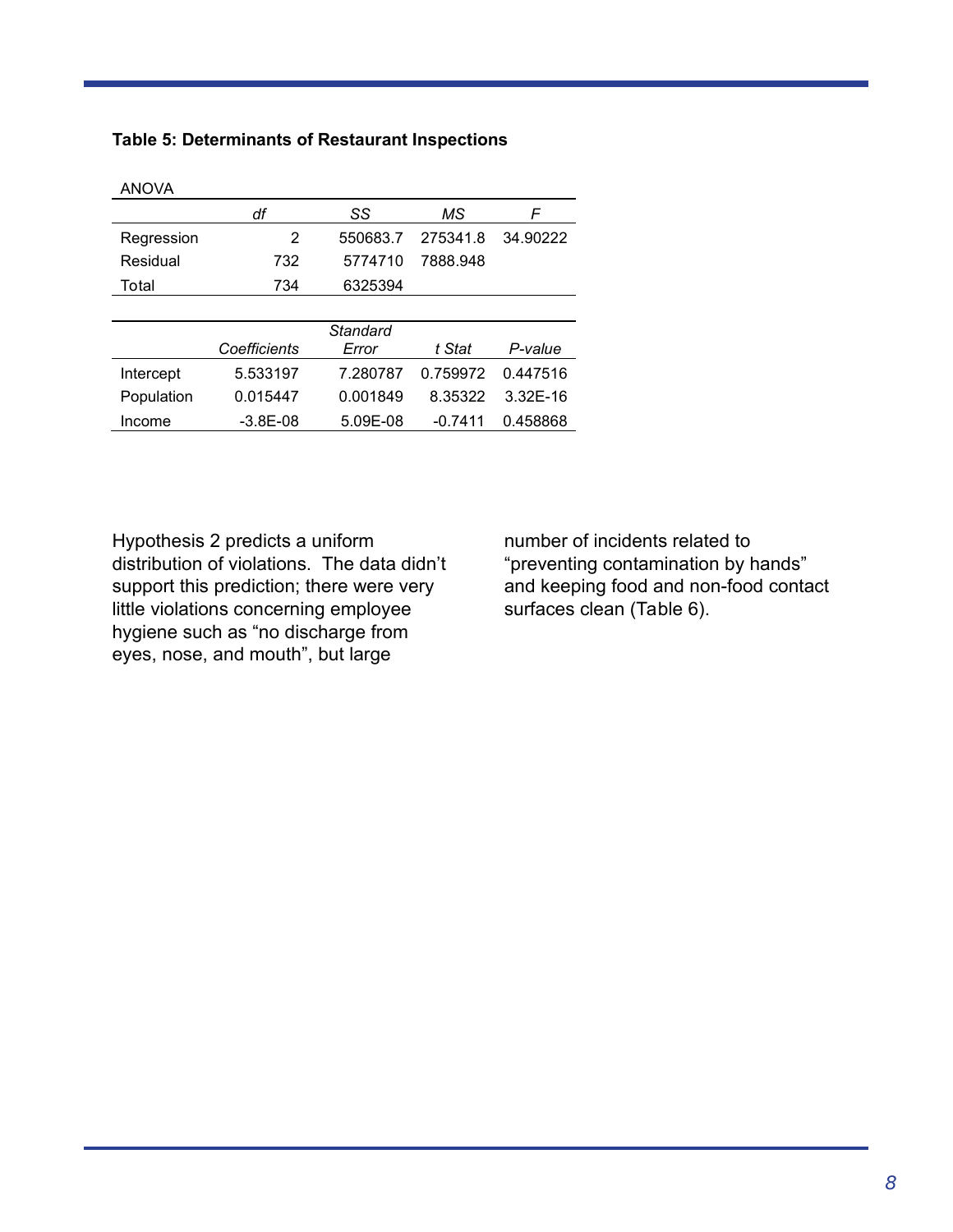| <b>ANOVA</b> |              |          |           |              |
|--------------|--------------|----------|-----------|--------------|
|              | df           | SS       | МS        | F            |
| Regression   | 2            | 550683.7 | 275341.8  | 34.90222     |
| Residual     | 732          | 5774710  | 7888.948  |              |
| Total        | 734          | 6325394  |           |              |
|              |              |          |           |              |
|              |              | Standard |           |              |
|              | Coefficients | Error    | t Stat    | P-value      |
| Intercept    | 5.533197     | 7.280787 | 0.759972  | 0.447516     |
| Population   | 0.015447     | 0.001849 | 8.35322   | $3.32E - 16$ |
| Income       | $-3.8E - 08$ | 5.09E-08 | $-0.7411$ | 0.458868     |

# **Table 5: Determinants of Restaurant Inspections**

Hypothesis 2 predicts a uniform distribution of violations. The data didn't support this prediction; there were very little violations concerning employee hygiene such as "no discharge from eyes, nose, and mouth", but large

number of incidents related to "preventing contamination by hands" and keeping food and non-food contact surfaces clean (Table 6).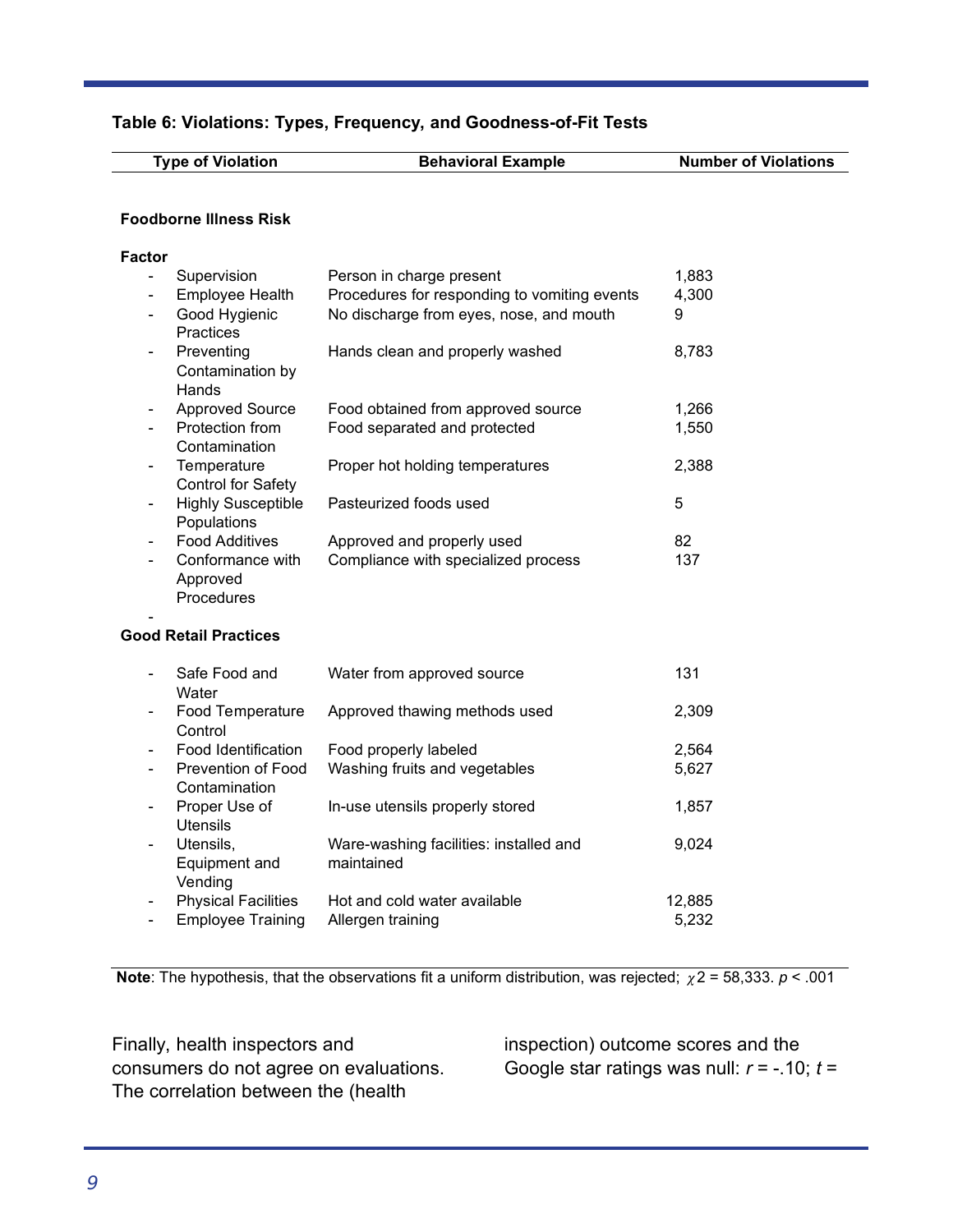## **Table 6: Violations: Types, Frequency, and Goodness-of-Fit Tests**

| <b>Type of Violation</b>                                               | <b>Behavioral Example</b>                            | <b>Number of Violations</b> |
|------------------------------------------------------------------------|------------------------------------------------------|-----------------------------|
| <b>Foodborne Illness Risk</b>                                          |                                                      |                             |
| <b>Factor</b>                                                          |                                                      |                             |
| Supervision<br>$\overline{\phantom{a}}$                                | Person in charge present                             | 1,883                       |
| Employee Health                                                        | Procedures for responding to vomiting events         | 4,300                       |
| Good Hygienic<br>Practices                                             | No discharge from eyes, nose, and mouth              | 9                           |
| Preventing<br>Contamination by<br>Hands                                | Hands clean and properly washed                      | 8,783                       |
| <b>Approved Source</b>                                                 | Food obtained from approved source                   | 1,266                       |
| Protection from<br>$\overline{\phantom{a}}$<br>Contamination           | Food separated and protected                         | 1,550                       |
| Temperature<br><b>Control for Safety</b>                               | Proper hot holding temperatures                      | 2,388                       |
| <b>Highly Susceptible</b><br>$\overline{\phantom{a}}$<br>Populations   | Pasteurized foods used                               | 5                           |
| <b>Food Additives</b>                                                  | Approved and properly used                           | 82                          |
| Conformance with<br>Approved                                           | Compliance with specialized process                  | 137                         |
| Procedures                                                             |                                                      |                             |
| <b>Good Retail Practices</b>                                           |                                                      |                             |
| Safe Food and<br>Water                                                 | Water from approved source                           | 131                         |
| Food Temperature<br>Control                                            | Approved thawing methods used                        | 2,309                       |
| Food Identification                                                    | Food properly labeled                                | 2,564                       |
| <b>Prevention of Food</b><br>$\overline{\phantom{a}}$<br>Contamination | Washing fruits and vegetables                        | 5,627                       |
| Proper Use of<br>$\overline{\phantom{a}}$<br><b>Utensils</b>           | In-use utensils properly stored                      | 1,857                       |
| Utensils,<br>Equipment and                                             | Ware-washing facilities: installed and<br>maintained | 9,024                       |

| Vending                               |                              |        |
|---------------------------------------|------------------------------|--------|
| - Physical Facilities                 | Hot and cold water available | 12.885 |
| - Employee Training Allergen training |                              | 5.232  |

**Note**: The hypothesis, that the observations fit a uniform distribution, was rejected;  $\chi$ 2 = 58,333. *p* < .001

Finally, health inspectors and consumers do not agree on evaluations. The correlation between the (health

inspection) outcome scores and the Google star ratings was null: *r* = -.10; *t* =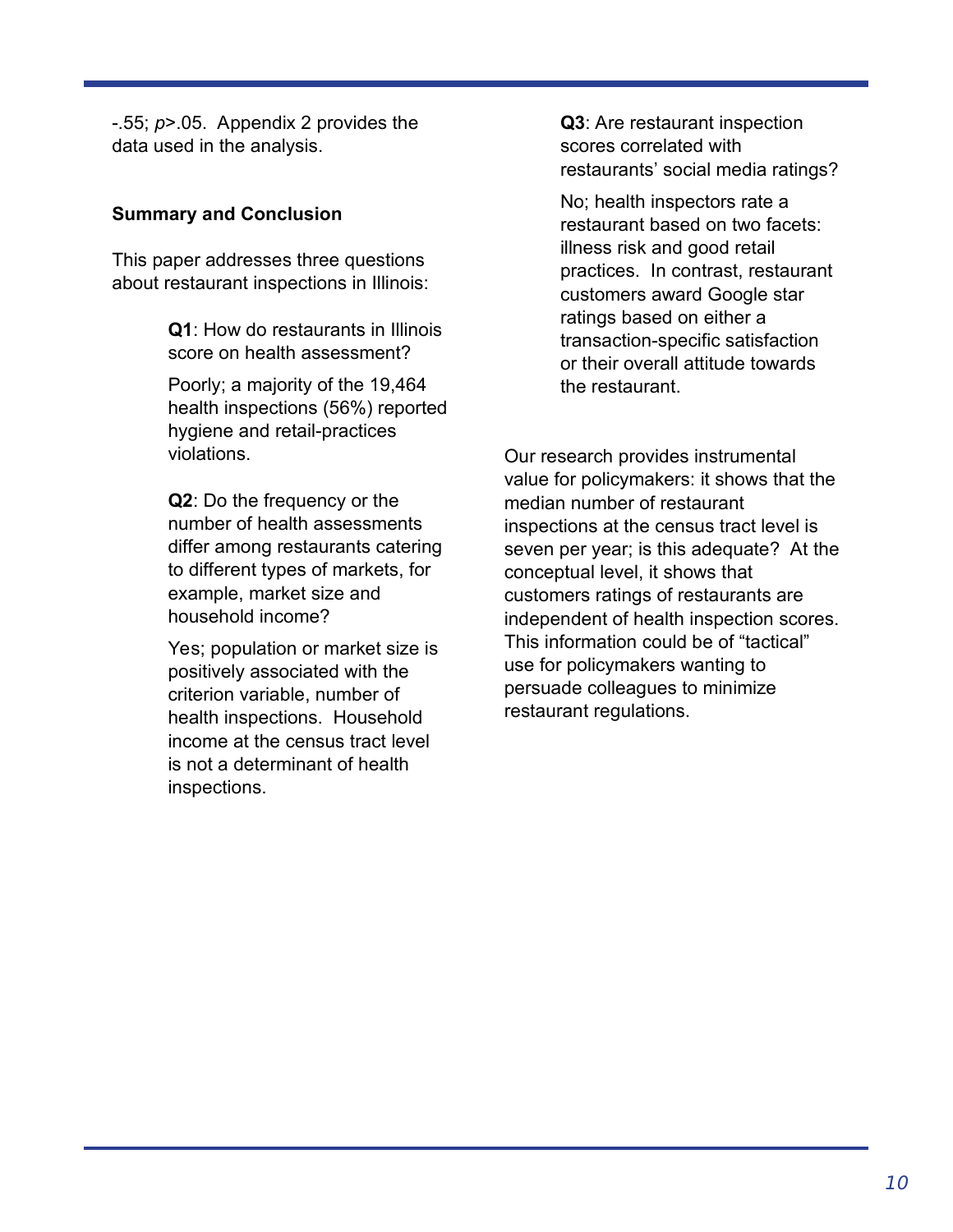-.55; *p*>.05. Appendix 2 provides the data used in the analysis.

# **Summary and Conclusion**

This paper addresses three questions about restaurant inspections in Illinois:

> **Q1**: How do restaurants in Illinois score on health assessment?

Poorly; a majority of the 19,464 health inspections (56%) reported hygiene and retail-practices violations.

**Q2**: Do the frequency or the number of health assessments differ among restaurants catering to different types of markets, for example, market size and household income?

Yes; population or market size is positively associated with the criterion variable, number of health inspections. Household income at the census tract level is not a determinant of health inspections.

**Q3**: Are restaurant inspection scores correlated with restaurants' social media ratings?

No; health inspectors rate a restaurant based on two facets: illness risk and good retail practices. In contrast, restaurant customers award Google star ratings based on either a transaction-specific satisfaction or their overall attitude towards the restaurant.

Our research provides instrumental value for policymakers: it shows that the median number of restaurant inspections at the census tract level is seven per year; is this adequate? At the conceptual level, it shows that customers ratings of restaurants are independent of health inspection scores. This information could be of "tactical" use for policymakers wanting to persuade colleagues to minimize restaurant regulations.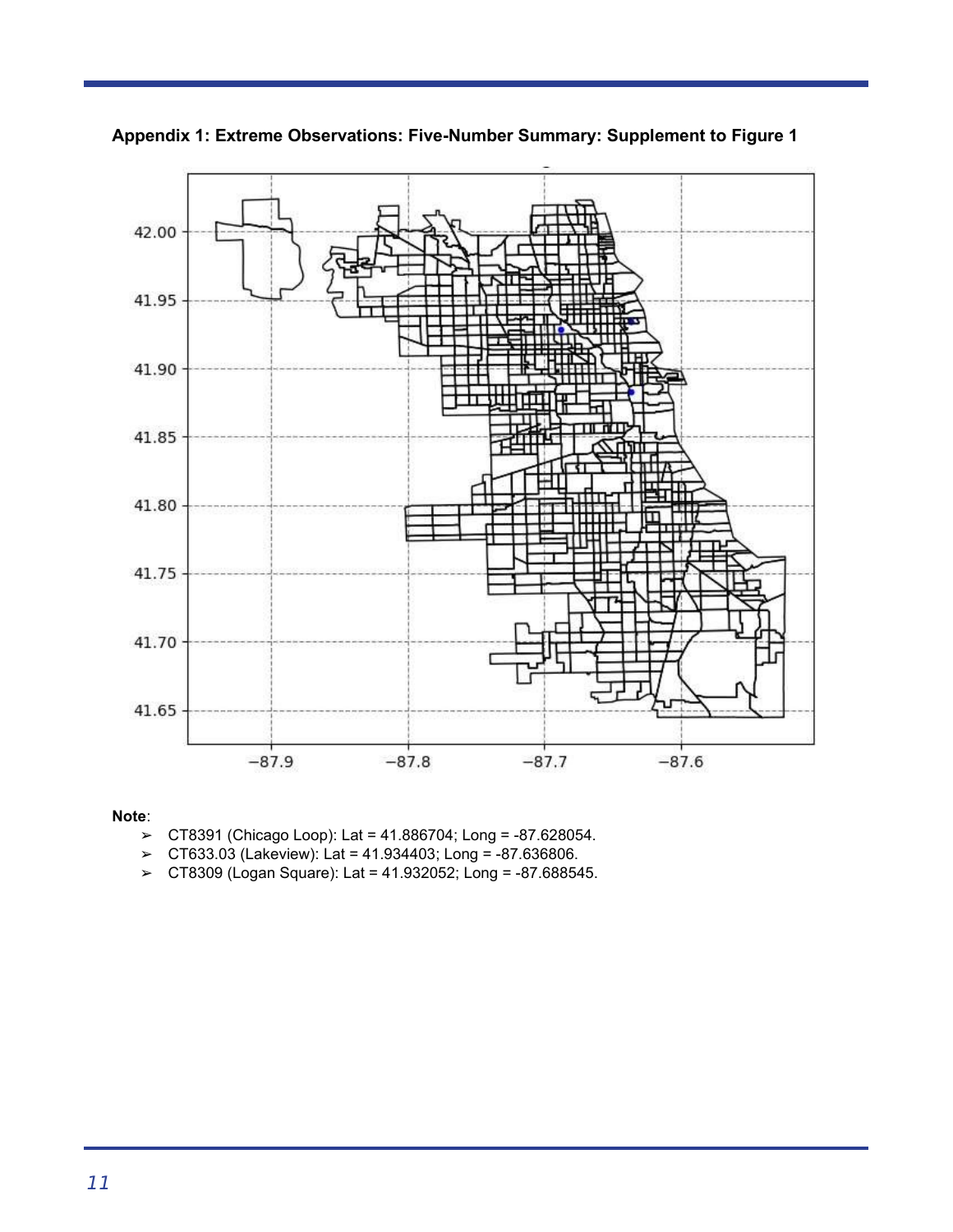

**Appendix 1: Extreme Observations: Five-Number Summary: Supplement to Figure 1** 

#### **Note**:

- ➢ CT8391 (Chicago Loop): Lat = 41.886704; Long = -87.628054.
- ➢ CT633.03 (Lakeview): Lat = 41.934403; Long = -87.636806.
- ➢ CT8309 (Logan Square): Lat = 41.932052; Long = -87.688545.